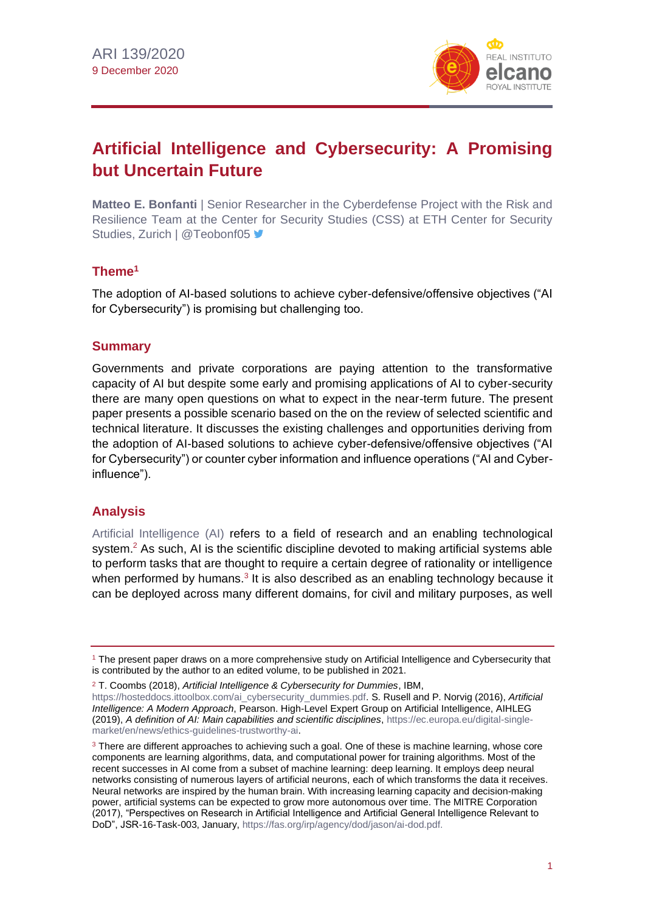

# **Artificial Intelligence and Cybersecurity: A Promising but Uncertain Future**

**Matteo E. Bonfanti** | Senior Researcher in the Cyberdefense Project with the Risk and Resilience Team at the Center for Security Studies (CSS) at ETH Center for Security Studies, Zurich | @Teobonf05

# **Theme<sup>1</sup>**

The adoption of AI-based solutions to achieve cyber-defensive/offensive objectives ("AI for Cybersecurity") is promising but challenging too.

## **Summary**

Governments and private corporations are paying attention to the transformative capacity of AI but despite some early and promising applications of AI to cyber-security there are many open questions on what to expect in the near-term future. The present paper presents a possible scenario based on the on the review of selected scientific and technical literature. It discusses the existing challenges and opportunities deriving from the adoption of AI-based solutions to achieve cyber-defensive/offensive objectives ("AI for Cybersecurity") or counter cyber information and influence operations ("AI and Cyberinfluence").

# **Analysis**

[Artificial Intelligence \(AI\)](https://blog.realinstitutoelcano.org/en/tag/artificial-intelligence/) refers to a field of research and an enabling technological system.<sup>2</sup> As such, AI is the scientific discipline devoted to making artificial systems able to perform tasks that are thought to require a certain degree of rationality or intelligence when performed by humans.<sup>3</sup> It is also described as an enabling technology because it can be deployed across many different domains, for civil and military purposes, as well

<sup>2</sup> T. Coombs (2018), *Artificial Intelligence & Cybersecurity for Dummies*, IBM,

<sup>&</sup>lt;sup>1</sup> The present paper draws on a more comprehensive study on Artificial Intelligence and Cybersecurity that is contributed by the author to an edited volume, to be published in 2021.

[https://hosteddocs.ittoolbox.com/ai\\_cybersecurity\\_dummies.pdf.](https://hosteddocs.ittoolbox.com/ai_cybersecurity_dummies.pdf) S. Rusell and P. Norvig (2016), *Artificial Intelligence: A Modern Approach*, Pearson. High-Level Expert Group on Artificial Intelligence, AIHLEG (2019), *A definition of AI: Main capabilities and scientific disciplines*[, https://ec.europa.eu/digital-single](https://ec.europa.eu/digital-single-market/en/news/ethics-guidelines-trustworthy-ai)[market/en/news/ethics-guidelines-trustworthy-ai.](https://ec.europa.eu/digital-single-market/en/news/ethics-guidelines-trustworthy-ai)

<sup>&</sup>lt;sup>3</sup> There are different approaches to achieving such a goal. One of these is machine learning, whose core components are learning algorithms, data, and computational power for training algorithms. Most of the recent successes in AI come from a subset of machine learning: deep learning. It employs deep neural networks consisting of numerous layers of artificial neurons, each of which transforms the data it receives. Neural networks are inspired by the human brain. With increasing learning capacity and decision-making power, artificial systems can be expected to grow more autonomous over time. The MITRE Corporation (2017), "Perspectives on Research in Artificial Intelligence and Artificial General Intelligence Relevant to DoD", JSR-16-Task-003, January[, https://fas.org/irp/agency/dod/jason/ai-dod.pdf.](https://fas.org/irp/agency/dod/jason/ai-dod.pdf)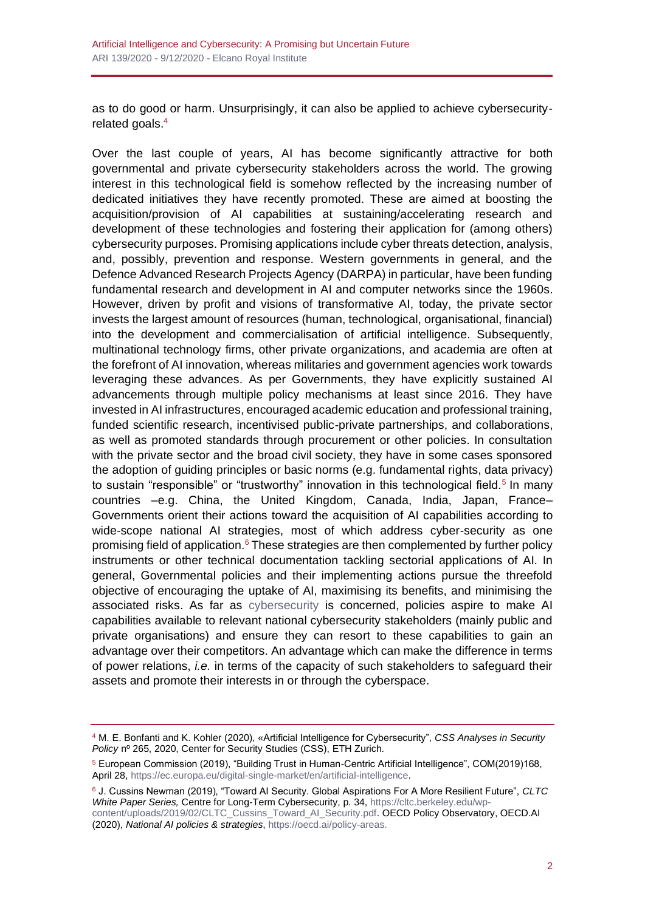as to do good or harm. Unsurprisingly, it can also be applied to achieve cybersecurityrelated goals.<sup>4</sup>

Over the last couple of years, AI has become significantly attractive for both governmental and private cybersecurity stakeholders across the world. The growing interest in this technological field is somehow reflected by the increasing number of dedicated initiatives they have recently promoted. These are aimed at boosting the acquisition/provision of AI capabilities at sustaining/accelerating research and development of these technologies and fostering their application for (among others) cybersecurity purposes. Promising applications include cyber threats detection, analysis, and, possibly, prevention and response. Western governments in general, and the Defence Advanced Research Projects Agency (DARPA) in particular, have been funding fundamental research and development in AI and computer networks since the 1960s. However, driven by profit and visions of transformative AI, today, the private sector invests the largest amount of resources (human, technological, organisational, financial) into the development and commercialisation of artificial intelligence. Subsequently, multinational technology firms, other private organizations, and academia are often at the forefront of AI innovation, whereas militaries and government agencies work towards leveraging these advances. As per Governments, they have explicitly sustained AI advancements through multiple policy mechanisms at least since 2016. They have invested in AI infrastructures, encouraged academic education and professional training, funded scientific research, incentivised public-private partnerships, and collaborations, as well as promoted standards through procurement or other policies. In consultation with the private sector and the broad civil society, they have in some cases sponsored the adoption of guiding principles or basic norms (e.g. fundamental rights, data privacy) to sustain "responsible" or "trustworthy" innovation in this technological field.<sup>5</sup> In many countries –e.g. China, the United Kingdom, Canada, India, Japan, France– Governments orient their actions toward the acquisition of AI capabilities according to wide-scope national AI strategies, most of which address cyber-security as one promising field of application.<sup>6</sup> These strategies are then complemented by further policy instruments or other technical documentation tackling sectorial applications of AI. In general, Governmental policies and their implementing actions pursue the threefold objective of encouraging the uptake of AI, maximising its benefits, and minimising the associated risks. As far as [cybersecurity](http://www.realinstitutoelcano.org/wps/portal/rielcano_en/research-topics/cybersecurity) is concerned, policies aspire to make AI capabilities available to relevant national cybersecurity stakeholders (mainly public and private organisations) and ensure they can resort to these capabilities to gain an advantage over their competitors. An advantage which can make the difference in terms of power relations, *i.e.* in terms of the capacity of such stakeholders to safeguard their assets and promote their interests in or through the cyberspace.

<sup>6</sup> J. Cussins Newman (2019), "Toward AI Security. Global Aspirations For A More Resilient Future", *CLTC White Paper Series,* Centre for Long-Term Cybersecurity, p. 34[, https://cltc.berkeley.edu/wp-](https://cltc.berkeley.edu/wp-content/uploads/2019/02/CLTC_Cussins_Toward_AI_Security.pdf)

<sup>4</sup> M. E. Bonfanti and K. Kohler (2020), «Artificial Intelligence for Cybersecurity", *CSS Analyses in Security Policy* nº 265, 2020, Center for Security Studies (CSS), ETH Zurich.

<sup>5</sup> European Commission (2019), "Building Trust in Human-Centric Artificial Intelligence", COM(2019)168, April 28[, https://ec.europa.eu/digital-single-market/en/artificial-intelligence.](https://ec.europa.eu/digital-single-market/en/artificial-intelligence)

[content/uploads/2019/02/CLTC\\_Cussins\\_Toward\\_AI\\_Security.pdf.](https://cltc.berkeley.edu/wp-content/uploads/2019/02/CLTC_Cussins_Toward_AI_Security.pdf) OECD Policy Observatory, OECD.AI (2020), *National AI policies & strategies*[, https://oecd.ai/policy-areas.](https://oecd.ai/policy-areas)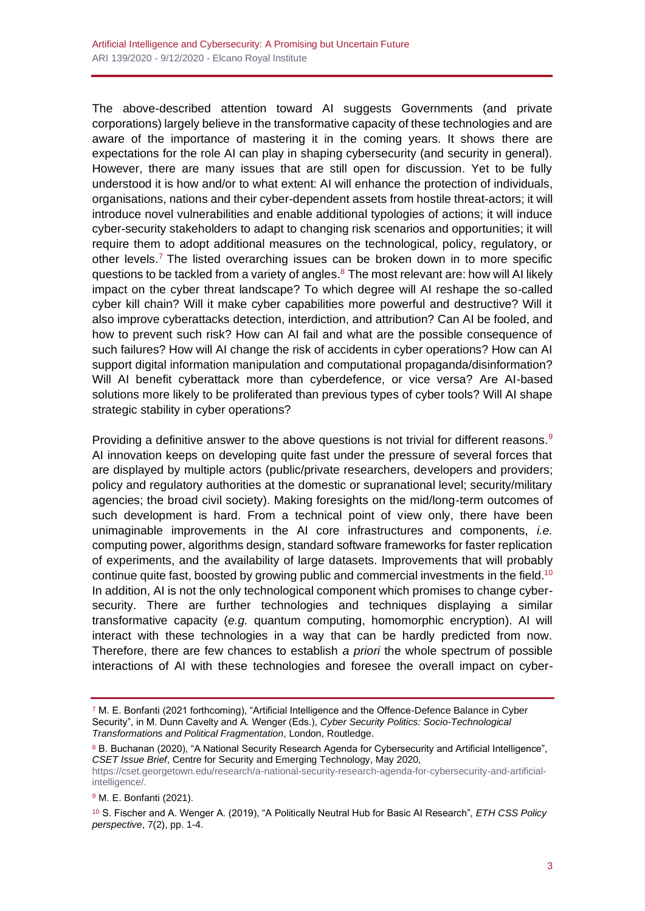The above-described attention toward AI suggests Governments (and private corporations) largely believe in the transformative capacity of these technologies and are aware of the importance of mastering it in the coming years. It shows there are expectations for the role AI can play in shaping cybersecurity (and security in general). However, there are many issues that are still open for discussion. Yet to be fully understood it is how and/or to what extent: AI will enhance the protection of individuals, organisations, nations and their cyber-dependent assets from hostile threat-actors; it will introduce novel vulnerabilities and enable additional typologies of actions; it will induce cyber-security stakeholders to adapt to changing risk scenarios and opportunities; it will require them to adopt additional measures on the technological, policy, regulatory, or other levels.<sup>7</sup> The listed overarching issues can be broken down in to more specific questions to be tackled from a variety of angles. $8$  The most relevant are: how will AI likely impact on the cyber threat landscape? To which degree will AI reshape the so-called cyber kill chain? Will it make cyber capabilities more powerful and destructive? Will it also improve cyberattacks detection, interdiction, and attribution? Can AI be fooled, and how to prevent such risk? How can AI fail and what are the possible consequence of such failures? How will AI change the risk of accidents in cyber operations? How can AI support digital information manipulation and computational propaganda/disinformation? Will AI benefit cyberattack more than cyberdefence, or vice versa? Are AI-based solutions more likely to be proliferated than previous types of cyber tools? Will AI shape strategic stability in cyber operations?

Providing a definitive answer to the above questions is not trivial for different reasons.<sup>9</sup> AI innovation keeps on developing quite fast under the pressure of several forces that are displayed by multiple actors (public/private researchers, developers and providers; policy and regulatory authorities at the domestic or supranational level; security/military agencies; the broad civil society). Making foresights on the mid/long-term outcomes of such development is hard. From a technical point of view only, there have been unimaginable improvements in the AI core infrastructures and components, *i.e.* computing power, algorithms design, standard software frameworks for faster replication of experiments, and the availability of large datasets. Improvements that will probably continue quite fast, boosted by growing public and commercial investments in the field.<sup>10</sup> In addition, AI is not the only technological component which promises to change cybersecurity. There are further technologies and techniques displaying a similar transformative capacity (*e.g.* quantum computing, homomorphic encryption). AI will interact with these technologies in a way that can be hardly predicted from now. Therefore, there are few chances to establish *a priori* the whole spectrum of possible interactions of AI with these technologies and foresee the overall impact on cyber-

<sup>7</sup> M. E. Bonfanti (2021 forthcoming), "Artificial Intelligence and the Offence-Defence Balance in Cyber Security", in M. Dunn Cavelty and A. Wenger (Eds.), *Cyber Security Politics: Socio-Technological Transformations and Political Fragmentation*, London, Routledge.

<sup>8</sup> B. Buchanan (2020), "A National Security Research Agenda for Cybersecurity and Artificial Intelligence", *CSET Issue Brief*, Centre for Security and Emerging Technology, May 2020, [https://cset.georgetown.edu/research/a-national-security-research-agenda-for-cybersecurity-and-artificial-](https://cset.georgetown.edu/research/a-national-security-research-agenda-for-cybersecurity-and-artificial-intelligence/)

[intelligence/.](https://cset.georgetown.edu/research/a-national-security-research-agenda-for-cybersecurity-and-artificial-intelligence/)

<sup>9</sup> M. E. Bonfanti (2021).

<sup>10</sup> S. Fischer and A. Wenger A. (2019), "A Politically Neutral Hub for Basic AI Research", *ETH CSS Policy perspective*, 7(2), pp. 1-4.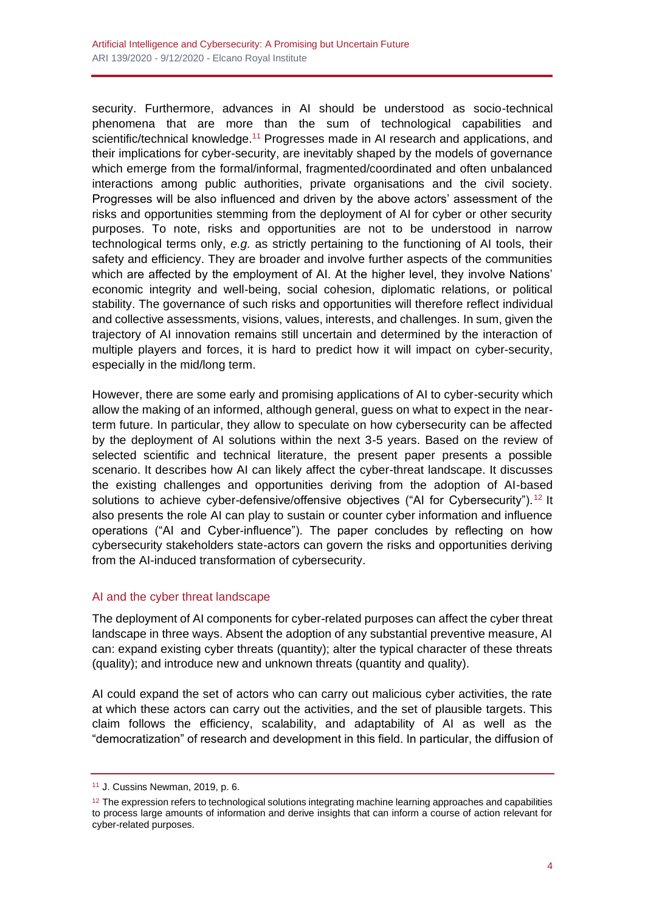security. Furthermore, advances in AI should be understood as socio-technical phenomena that are more than the sum of technological capabilities and scientific/technical knowledge.<sup>11</sup> Progresses made in AI research and applications, and their implications for cyber-security, are inevitably shaped by the models of governance which emerge from the formal/informal, fragmented/coordinated and often unbalanced interactions among public authorities, private organisations and the civil society. Progresses will be also influenced and driven by the above actors' assessment of the risks and opportunities stemming from the deployment of AI for cyber or other security purposes. To note, risks and opportunities are not to be understood in narrow technological terms only, *e.g.* as strictly pertaining to the functioning of AI tools, their safety and efficiency. They are broader and involve further aspects of the communities which are affected by the employment of AI. At the higher level, they involve Nations' economic integrity and well-being, social cohesion, diplomatic relations, or political stability. The governance of such risks and opportunities will therefore reflect individual and collective assessments, visions, values, interests, and challenges. In sum, given the trajectory of AI innovation remains still uncertain and determined by the interaction of multiple players and forces, it is hard to predict how it will impact on cyber-security, especially in the mid/long term.

However, there are some early and promising applications of AI to cyber-security which allow the making of an informed, although general, guess on what to expect in the nearterm future. In particular, they allow to speculate on how cybersecurity can be affected by the deployment of AI solutions within the next 3-5 years. Based on the review of selected scientific and technical literature, the present paper presents a possible scenario. It describes how AI can likely affect the cyber-threat landscape. It discusses the existing challenges and opportunities deriving from the adoption of AI-based solutions to achieve cyber-defensive/offensive objectives ("AI for Cybersecurity").<sup>12</sup> It also presents the role AI can play to sustain or counter cyber information and influence operations ("AI and Cyber-influence"). The paper concludes by reflecting on how cybersecurity stakeholders state-actors can govern the risks and opportunities deriving from the AI-induced transformation of cybersecurity.

#### AI and the cyber threat landscape

The deployment of AI components for cyber-related purposes can affect the cyber threat landscape in three ways. Absent the adoption of any substantial preventive measure, AI can: expand existing cyber threats (quantity); alter the typical character of these threats (quality); and introduce new and unknown threats (quantity and quality).

AI could expand the set of actors who can carry out malicious cyber activities, the rate at which these actors can carry out the activities, and the set of plausible targets. This claim follows the efficiency, scalability, and adaptability of AI as well as the "democratization" of research and development in this field. In particular, the diffusion of

<sup>11</sup> J. Cussins Newman, 2019, p. 6.

 $12$  The expression refers to technological solutions integrating machine learning approaches and capabilities to process large amounts of information and derive insights that can inform a course of action relevant for cyber-related purposes.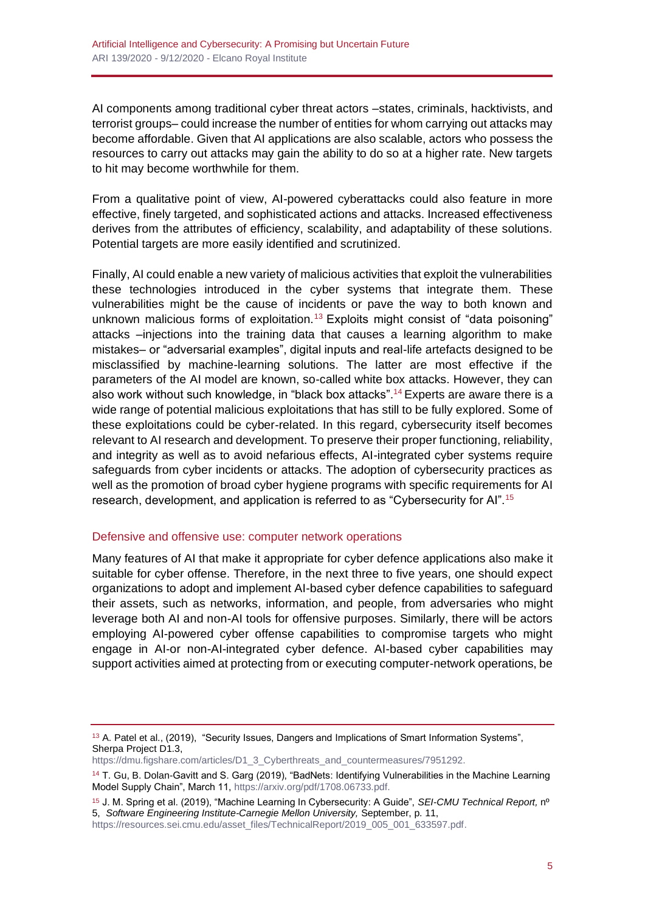AI components among traditional cyber threat actors –states, criminals, hacktivists, and terrorist groups– could increase the number of entities for whom carrying out attacks may become affordable. Given that AI applications are also scalable, actors who possess the resources to carry out attacks may gain the ability to do so at a higher rate. New targets to hit may become worthwhile for them.

From a qualitative point of view, AI-powered cyberattacks could also feature in more effective, finely targeted, and sophisticated actions and attacks. Increased effectiveness derives from the attributes of efficiency, scalability, and adaptability of these solutions. Potential targets are more easily identified and scrutinized.

Finally, AI could enable a new variety of malicious activities that exploit the vulnerabilities these technologies introduced in the cyber systems that integrate them. These vulnerabilities might be the cause of incidents or pave the way to both known and unknown malicious forms of exploitation.<sup>13</sup> Exploits might consist of "data poisoning" attacks –injections into the training data that causes a learning algorithm to make mistakes– or "adversarial examples", digital inputs and real-life artefacts designed to be misclassified by machine-learning solutions. The latter are most effective if the parameters of the AI model are known, so-called white box attacks. However, they can also work without such knowledge, in "black box attacks".<sup>14</sup> Experts are aware there is a wide range of potential malicious exploitations that has still to be fully explored. Some of these exploitations could be cyber-related. In this regard, cybersecurity itself becomes relevant to AI research and development. To preserve their proper functioning, reliability, and integrity as well as to avoid nefarious effects, AI-integrated cyber systems require safeguards from cyber incidents or attacks. The adoption of cybersecurity practices as well as the promotion of broad cyber hygiene programs with specific requirements for AI research, development, and application is referred to as "Cybersecurity for AI".<sup>15</sup>

#### Defensive and offensive use: computer network operations

Many features of AI that make it appropriate for cyber defence applications also make it suitable for cyber offense. Therefore, in the next three to five years, one should expect organizations to adopt and implement AI-based cyber defence capabilities to safeguard their assets, such as networks, information, and people, from adversaries who might leverage both AI and non-AI tools for offensive purposes. Similarly, there will be actors employing AI-powered cyber offense capabilities to compromise targets who might engage in AI-or non-AI-integrated cyber defence. AI-based cyber capabilities may support activities aimed at protecting from or executing computer-network operations, be

<sup>&</sup>lt;sup>13</sup> A. Patel et al., (2019), "Security Issues, Dangers and Implications of Smart Information Systems", Sherpa Project D1.3,

[https://dmu.figshare.com/articles/D1\\_3\\_Cyberthreats\\_and\\_countermeasures/7951292.](https://dmu.figshare.com/articles/D1_3_Cyberthreats_and_countermeasures/7951292)

<sup>14</sup> T. Gu, B. Dolan-Gavitt and S. Garg (2019), "BadNets: Identifying Vulnerabilities in the Machine Learning Model Supply Chain", March 11, [https://arxiv.org/pdf/1708.06733.pdf.](https://arxiv.org/pdf/1708.06733.pdf)

<sup>15</sup> J. M. Spring et al. (2019), "Machine Learning In Cybersecurity: A Guide", *SEI-CMU Technical Report,* nº 5, *Software Engineering Institute-Carnegie Mellon University,* September, p. 11,

https://resources.sei.cmu.edu/asset\_files/TechnicalReport/2019\_005\_001\_633597.pdf.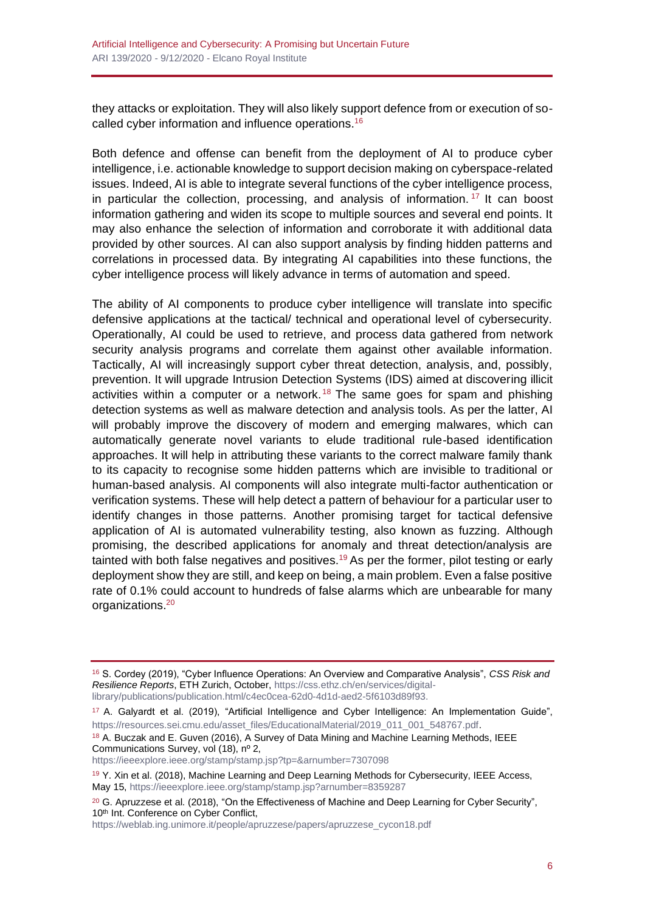they attacks or exploitation. They will also likely support defence from or execution of socalled cyber information and influence operations.<sup>16</sup>

Both defence and offense can benefit from the deployment of AI to produce cyber intelligence, i.e. actionable knowledge to support decision making on cyberspace-related issues. Indeed, AI is able to integrate several functions of the cyber intelligence process, in particular the collection, processing, and analysis of information. <sup>17</sup> It can boost information gathering and widen its scope to multiple sources and several end points. It may also enhance the selection of information and corroborate it with additional data provided by other sources. AI can also support analysis by finding hidden patterns and correlations in processed data. By integrating AI capabilities into these functions, the cyber intelligence process will likely advance in terms of automation and speed.

The ability of AI components to produce cyber intelligence will translate into specific defensive applications at the tactical/ technical and operational level of cybersecurity. Operationally, AI could be used to retrieve, and process data gathered from network security analysis programs and correlate them against other available information. Tactically, AI will increasingly support cyber threat detection, analysis, and, possibly, prevention. It will upgrade Intrusion Detection Systems (IDS) aimed at discovering illicit activities within a computer or a network.<sup>18</sup> The same goes for spam and phishing detection systems as well as malware detection and analysis tools. As per the latter, AI will probably improve the discovery of modern and emerging malwares, which can automatically generate novel variants to elude traditional rule-based identification approaches. It will help in attributing these variants to the correct malware family thank to its capacity to recognise some hidden patterns which are invisible to traditional or human-based analysis. AI components will also integrate multi-factor authentication or verification systems. These will help detect a pattern of behaviour for a particular user to identify changes in those patterns. Another promising target for tactical defensive application of AI is automated vulnerability testing, also known as fuzzing. Although promising, the described applications for anomaly and threat detection/analysis are tainted with both false negatives and positives.<sup>19</sup> As per the former, pilot testing or early deployment show they are still, and keep on being, a main problem. Even a false positive rate of 0.1% could account to hundreds of false alarms which are unbearable for many organizations.<sup>20</sup>

 $18$  A. Buczak and E. Guven (2016), A Survey of Data Mining and Machine Learning Methods, IEEE Communications Survey, vol (18), nº 2,

<https://ieeexplore.ieee.org/stamp/stamp.jsp?tp=&arnumber=7307098>

<sup>16</sup> S. Cordey (2019), "Cyber Influence Operations: An Overview and Comparative Analysis", *CSS Risk and Resilience Reports*, ETH Zurich, October, [https://css.ethz.ch/en/services/digital](https://css.ethz.ch/en/services/digital-library/publications/publication.html/c4ec0cea-62d0-4d1d-aed2-5f6103d89f93)[library/publications/publication.html/c4ec0cea-62d0-4d1d-aed2-5f6103d89f93.](https://css.ethz.ch/en/services/digital-library/publications/publication.html/c4ec0cea-62d0-4d1d-aed2-5f6103d89f93)

<sup>17</sup> A. Galyardt et al. (2019), "Artificial Intelligence and Cyber Intelligence: An Implementation Guide", [https://resources.sei.cmu.edu/asset\\_files/EducationalMaterial/2019\\_011\\_001\\_548767.pdf.](https://resources.sei.cmu.edu/asset_files/EducationalMaterial/2019_011_001_548767.pdf)

<sup>&</sup>lt;sup>19</sup> Y. Xin et al. (2018), Machine Learning and Deep Learning Methods for Cybersecurity, IEEE Access, May 15[, https://ieeexplore.ieee.org/stamp/stamp.jsp?arnumber=8359287](https://ieeexplore.ieee.org/stamp/stamp.jsp?arnumber=8359287)

<sup>&</sup>lt;sup>20</sup> G. Apruzzese et al. (2018), "On the Effectiveness of Machine and Deep Learning for Cyber Security", 10th Int. Conference on Cyber Conflict,

[https://weblab.ing.unimore.it/people/apruzzese/papers/apruzzese\\_cycon18.pdf](https://weblab.ing.unimore.it/people/apruzzese/papers/apruzzese_cycon18.pdf)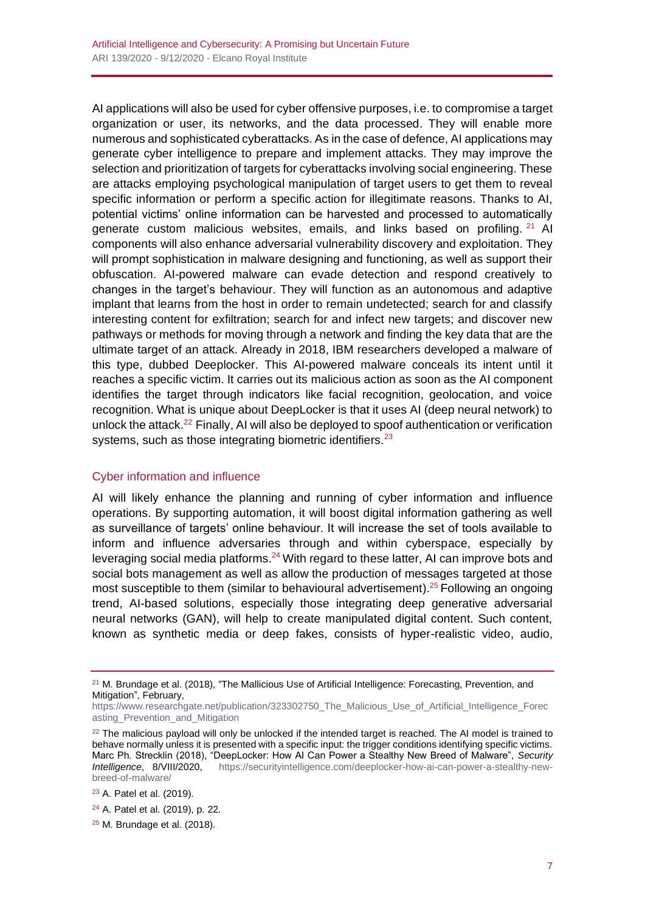AI applications will also be used for cyber offensive purposes, i.e. to compromise a target organization or user, its networks, and the data processed. They will enable more numerous and sophisticated cyberattacks. As in the case of defence, AI applications may generate cyber intelligence to prepare and implement attacks. They may improve the selection and prioritization of targets for cyberattacks involving social engineering. These are attacks employing psychological manipulation of target users to get them to reveal specific information or perform a specific action for illegitimate reasons. Thanks to AI, potential victims' online information can be harvested and processed to automatically generate custom malicious websites, emails, and links based on profiling.  $21$  AI components will also enhance adversarial vulnerability discovery and exploitation. They will prompt sophistication in malware designing and functioning, as well as support their obfuscation. AI-powered malware can evade detection and respond creatively to changes in the target's behaviour. They will function as an autonomous and adaptive implant that learns from the host in order to remain undetected; search for and classify interesting content for exfiltration; search for and infect new targets; and discover new pathways or methods for moving through a network and finding the key data that are the ultimate target of an attack. Already in 2018, IBM researchers developed a malware of this type, dubbed Deeplocker. This AI-powered malware conceals its intent until it reaches a specific victim. It carries out its malicious action as soon as the AI component identifies the target through indicators like facial recognition, geolocation, and voice recognition. What is unique about DeepLocker is that it uses AI (deep neural network) to unlock the attack.<sup>22</sup> Finally, AI will also be deployed to spoof authentication or verification systems, such as those integrating biometric identifiers.<sup>23</sup>

#### Cyber information and influence

AI will likely enhance the planning and running of cyber information and influence operations. By supporting automation, it will boost digital information gathering as well as surveillance of targets' online behaviour. It will increase the set of tools available to inform and influence adversaries through and within cyberspace, especially by leveraging social media platforms.<sup>24</sup> With regard to these latter, AI can improve bots and social bots management as well as allow the production of messages targeted at those most susceptible to them (similar to behavioural advertisement).<sup>25</sup> Following an ongoing trend, AI-based solutions, especially those integrating deep generative adversarial neural networks (GAN), will help to create manipulated digital content. Such content, known as synthetic media or deep fakes, consists of hyper-realistic video, audio,

<sup>21</sup> M. Brundage et al. (2018), "The Mallicious Use of Artificial Intelligence: Forecasting, Prevention, and Mitigation", February,

[https://www.researchgate.net/publication/323302750\\_The\\_Malicious\\_Use\\_of\\_Artificial\\_Intelligence\\_Forec](https://www.researchgate.net/publication/323302750_The_Malicious_Use_of_Artificial_Intelligence_Forecasting_Prevention_and_Mitigation) [asting\\_Prevention\\_and\\_Mitigation](https://www.researchgate.net/publication/323302750_The_Malicious_Use_of_Artificial_Intelligence_Forecasting_Prevention_and_Mitigation)

<sup>&</sup>lt;sup>22</sup> The malicious payload will only be unlocked if the intended target is reached. The AI model is trained to behave normally unless it is presented with a specific input: the trigger conditions identifying specific victims. Marc Ph. Strecklin (2018), "DeepLocker: How AI Can Power a Stealthy New Breed of Malware", *Security Intelligence*, 8/VIII/2020, [https://securityintelligence.com/deeplocker-how-ai-can-power-a-stealthy-new](https://securityintelligence.com/deeplocker-how-ai-can-power-a-stealthy-new-breed-of-malware/)[breed-of-malware/](https://securityintelligence.com/deeplocker-how-ai-can-power-a-stealthy-new-breed-of-malware/)

<sup>23</sup> A. Patel et al. (2019).

<sup>24</sup> A. Patel et al. (2019), p. 22.

<sup>25</sup> M. Brundage et al. (2018).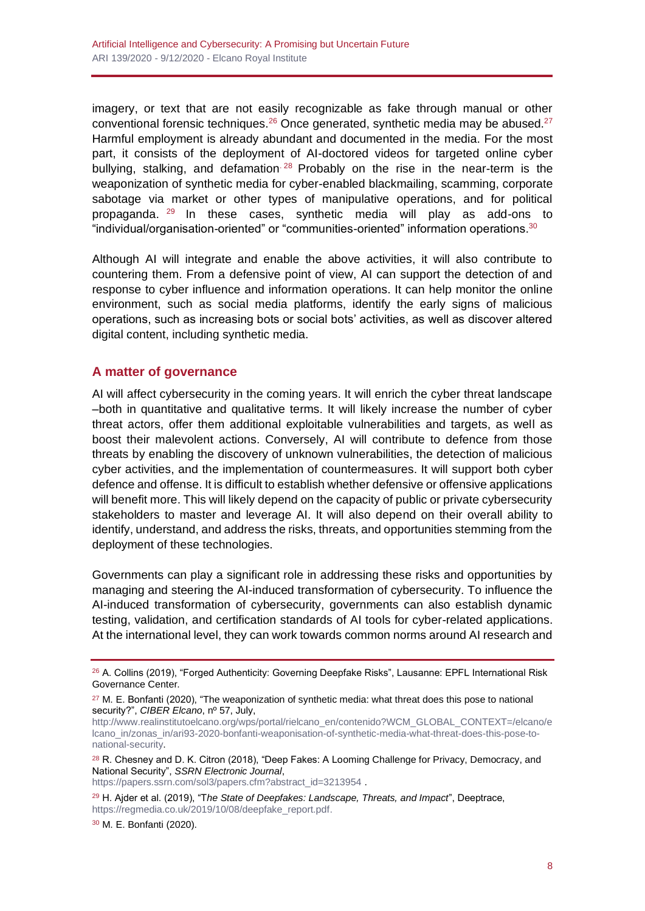imagery, or text that are not easily recognizable as fake through manual or other conventional forensic techniques.<sup>26</sup> Once generated, synthetic media may be abused.<sup>27</sup> Harmful employment is already abundant and documented in the media. For the most part, it consists of the deployment of AI-doctored videos for targeted online cyber bullying, stalking, and defamation  $28$  Probably on the rise in the near-term is the weaponization of synthetic media for cyber-enabled blackmailing, scamming, corporate sabotage via market or other types of manipulative operations, and for political propaganda. <sup>29</sup> In these cases, synthetic media will play as add-ons to "individual/organisation-oriented" or "communities-oriented" information operations. $30$ 

Although AI will integrate and enable the above activities, it will also contribute to countering them. From a defensive point of view, AI can support the detection of and response to cyber influence and information operations. It can help monitor the online environment, such as social media platforms, identify the early signs of malicious operations, such as increasing bots or social bots' activities, as well as discover altered digital content, including synthetic media.

## **A matter of governance**

AI will affect cybersecurity in the coming years. It will enrich the cyber threat landscape –both in quantitative and qualitative terms. It will likely increase the number of cyber threat actors, offer them additional exploitable vulnerabilities and targets, as well as boost their malevolent actions. Conversely, AI will contribute to defence from those threats by enabling the discovery of unknown vulnerabilities, the detection of malicious cyber activities, and the implementation of countermeasures. It will support both cyber defence and offense. It is difficult to establish whether defensive or offensive applications will benefit more. This will likely depend on the capacity of public or private cybersecurity stakeholders to master and leverage AI. It will also depend on their overall ability to identify, understand, and address the risks, threats, and opportunities stemming from the deployment of these technologies.

Governments can play a significant role in addressing these risks and opportunities by managing and steering the AI-induced transformation of cybersecurity. To influence the AI-induced transformation of cybersecurity, governments can also establish dynamic testing, validation, and certification standards of AI tools for cyber-related applications. At the international level, they can work towards common norms around AI research and

<sup>28</sup> R. Chesney and D. K. Citron (2018), "Deep Fakes: A Looming Challenge for Privacy, Democracy, and National Security", *SSRN Electronic Journal*,

[https://papers.ssrn.com/sol3/papers.cfm?abstract\\_id=3213954](https://papers.ssrn.com/sol3/papers.cfm?abstract_id=3213954) .

<sup>26</sup> A. Collins (2019), "Forged Authenticity: Governing Deepfake Risks", Lausanne: EPFL International Risk Governance Center.

<sup>&</sup>lt;sup>27</sup> M. E. Bonfanti (2020), "The weaponization of synthetic media: what threat does this pose to national security?", *CIBER Elcano*, nº 57, July,

[http://www.realinstitutoelcano.org/wps/portal/rielcano\\_en/contenido?WCM\\_GLOBAL\\_CONTEXT=/elcano/e](http://www.realinstitutoelcano.org/wps/portal/rielcano_en/contenido?WCM_GLOBAL_CONTEXT=/elcano/elcano_in/zonas_in/ari93-2020-bonfanti-weaponisation-of-synthetic-media-what-threat-does-this-pose-to-national-security) [lcano\\_in/zonas\\_in/ari93-2020-bonfanti-weaponisation-of-synthetic-media-what-threat-does-this-pose-to](http://www.realinstitutoelcano.org/wps/portal/rielcano_en/contenido?WCM_GLOBAL_CONTEXT=/elcano/elcano_in/zonas_in/ari93-2020-bonfanti-weaponisation-of-synthetic-media-what-threat-does-this-pose-to-national-security)[national-security.](http://www.realinstitutoelcano.org/wps/portal/rielcano_en/contenido?WCM_GLOBAL_CONTEXT=/elcano/elcano_in/zonas_in/ari93-2020-bonfanti-weaponisation-of-synthetic-media-what-threat-does-this-pose-to-national-security)

<sup>29</sup> H. Ajder et al. (2019), "T*he State of Deepfakes: Landscape, Threats, and Impact*", Deeptrace, [https://regmedia.co.uk/2019/10/08/deepfake\\_report.pdf.](https://regmedia.co.uk/2019/10/08/deepfake_report.pdf)

<sup>30</sup> M. E. Bonfanti (2020).